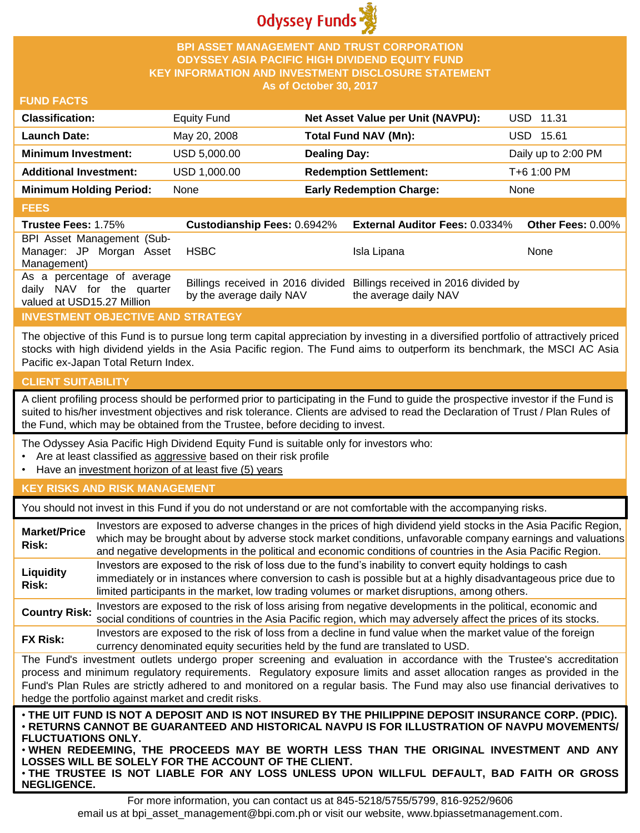

## **BPI ASSET MANAGEMENT AND TRUST CORPORATION ODYSSEY ASIA PACIFIC HIGH DIVIDEND EQUITY FUND KEY INFORMATION AND INVESTMENT DISCLOSURE STATEMENT As of October 30, 2017**

## **FUND FACTS**

| <b>Classification:</b>         | <b>Equity Fund</b> | Net Asset Value per Unit (NAVPU): | <b>USD 11.31</b>    |
|--------------------------------|--------------------|-----------------------------------|---------------------|
| Launch Date:                   | May 20, 2008       | Total Fund NAV (Mn):              | USD 15.61           |
| <b>Minimum Investment:</b>     | USD 5,000.00       | <b>Dealing Day:</b>               | Daily up to 2:00 PM |
| <b>Additional Investment:</b>  | USD 1,000.00       | <b>Redemption Settlement:</b>     | T+6 1:00 PM         |
| <b>Minimum Holding Period:</b> | None               | <b>Early Redemption Charge:</b>   | None                |
|                                |                    |                                   |                     |

#### **FEES**

| -----                                                                                 |                                    |                                                                                                 |                          |
|---------------------------------------------------------------------------------------|------------------------------------|-------------------------------------------------------------------------------------------------|--------------------------|
| <b>Trustee Fees: 1.75%</b>                                                            | <b>Custodianship Fees: 0.6942%</b> | <b>External Auditor Fees: 0.0334%</b>                                                           | <b>Other Fees: 0.00%</b> |
| BPI Asset Management (Sub-<br>Manager: JP Morgan Asset<br>Management)                 | <b>HSBC</b>                        | Isla Lipana                                                                                     | None                     |
| As a percentage of average<br>daily NAV for the quarter<br>valued at USD15.27 Million | by the average daily NAV           | Billings received in 2016 divided Billings received in 2016 divided by<br>the average daily NAV |                          |

## **INVESTMENT OBJECTIVE AND STRATEGY**

The objective of this Fund is to pursue long term capital appreciation by investing in a diversified portfolio of attractively priced stocks with high dividend yields in the Asia Pacific region. The Fund aims to outperform its benchmark, the MSCI AC Asia Pacific ex-Japan Total Return Index.

## **CLIENT SUITABILITY**

A client profiling process should be performed prior to participating in the Fund to guide the prospective investor if the Fund is suited to his/her investment objectives and risk tolerance. Clients are advised to read the Declaration of Trust / Plan Rules of the Fund, which may be obtained from the Trustee, before deciding to invest.

The Odyssey Asia Pacific High Dividend Equity Fund is suitable only for investors who:

- Are at least classified as aggressive based on their risk profile
- Have an investment horizon of at least five (5) years

#### **KEY RISKS AND RISK MANAGEMENT**

You should not invest in this Fund if you do not understand or are not comfortable with the accompanying risks.

| <b>Market/Price</b><br>Risk:                                                                                                                                                                                                                                                                                                                                                                                                         | Investors are exposed to adverse changes in the prices of high dividend yield stocks in the Asia Pacific Region,<br>which may be brought about by adverse stock market conditions, unfavorable company earnings and valuations<br>and negative developments in the political and economic conditions of countries in the Asia Pacific Region. |  |
|--------------------------------------------------------------------------------------------------------------------------------------------------------------------------------------------------------------------------------------------------------------------------------------------------------------------------------------------------------------------------------------------------------------------------------------|-----------------------------------------------------------------------------------------------------------------------------------------------------------------------------------------------------------------------------------------------------------------------------------------------------------------------------------------------|--|
| Liquidity<br>Risk:                                                                                                                                                                                                                                                                                                                                                                                                                   | Investors are exposed to the risk of loss due to the fund's inability to convert equity holdings to cash<br>immediately or in instances where conversion to cash is possible but at a highly disadvantageous price due to<br>limited participants in the market, low trading volumes or market disruptions, among others.                     |  |
| <b>Country Risk:</b>                                                                                                                                                                                                                                                                                                                                                                                                                 | Investors are exposed to the risk of loss arising from negative developments in the political, economic and<br>social conditions of countries in the Asia Pacific region, which may adversely affect the prices of its stocks.                                                                                                                |  |
| <b>FX Risk:</b>                                                                                                                                                                                                                                                                                                                                                                                                                      | Investors are exposed to the risk of loss from a decline in fund value when the market value of the foreign<br>currency denominated equity securities held by the fund are translated to USD.                                                                                                                                                 |  |
| The Fund's investment outlets undergo proper screening and evaluation in accordance with the Trustee's accreditation<br>process and minimum regulatory requirements. Regulatory exposure limits and asset allocation ranges as provided in the<br>Fund's Plan Rules are strictly adhered to and monitored on a regular basis. The Fund may also use financial derivatives to<br>hedge the portfolio against market and credit risks. |                                                                                                                                                                                                                                                                                                                                               |  |
| . THE UIT FUND IS NOT A DEPOSIT AND IS NOT INSURED BY THE PHILIPPINE DEPOSIT INSURANCE CORP. (PDIC).<br>· RETURNS CANNOT BE GUARANTEED AND HISTORICAL NAVPU IS FOR ILLUSTRATION OF NAVPU MOVEMENTS/<br><b>FLUCTUATIONS ONLY.</b><br>. WHEN REDEEMING, THE PROCEEDS MAY BE WORTH LESS THAN THE ORIGINAL INVESTMENT AND ANY<br><b>LOSSES WILL BE SOLELY FOR THE ACCOUNT OF THE CLIENT.</b>                                             |                                                                                                                                                                                                                                                                                                                                               |  |

• **THE TRUSTEE IS NOT LIABLE FOR ANY LOSS UNLESS UPON WILLFUL DEFAULT, BAD FAITH OR GROSS NEGLIGENCE.**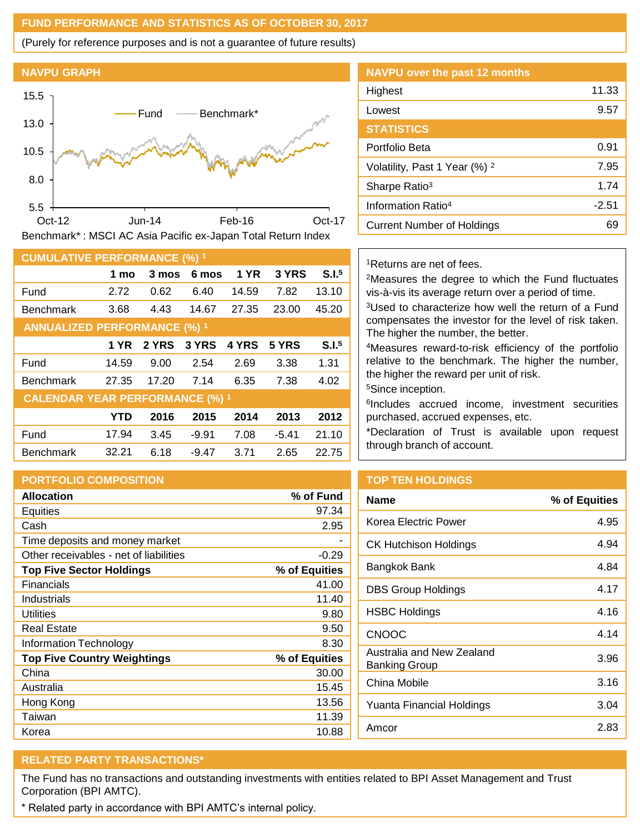## **FUND PERFORMANCE AND STATISTICS AS OF OCTOBER 30, 2017**

(Purely for reference purposes and is not a guarantee of future results)



| <b>CUMULATIVE PERFORMANCE (%) 1</b>    |            |       |         |       |         |                   |
|----------------------------------------|------------|-------|---------|-------|---------|-------------------|
|                                        | 1 mo       | 3 mos | 6 mos   | 1 YR  | 3 YRS   | S.I. <sup>5</sup> |
| Fund                                   | 2.72       | 0.62  | 6.40    | 14.59 | 7.82    | 13.10             |
| <b>Benchmark</b>                       | 3.68       | 4.43  | 14.67   | 27.35 | 23.00   | 45.20             |
| <b>ANNUALIZED PERFORMANCE (%) 1</b>    |            |       |         |       |         |                   |
|                                        | 1 YR       | 2 YRS | 3 YRS   | 4 YRS | 5 YRS   | S.I. <sup>5</sup> |
| Fund                                   | 14.59      | 9.00  | 2.54    | 2.69  | 3.38    | 1.31              |
| <b>Benchmark</b>                       | 27.35      | 17.20 | 7.14    | 6.35  | 7.38    | 4.02              |
| <b>CALENDAR YEAR PERFORMANCE (%) 1</b> |            |       |         |       |         |                   |
|                                        | <b>YTD</b> | 2016  | 2015    | 2014  | 2013    | 2012              |
| Fund                                   | 17.94      | 3.45  | $-9.91$ | 7.08  | $-5.41$ | 21.10             |
| <b>Benchmark</b>                       | 32.21      | 6.18  | $-9.47$ | 3.71  | 2.65    | 22.75             |

#### **PORTFOLIO COMPOSITION**

| <b>Allocation</b>                      | % of Fund     |
|----------------------------------------|---------------|
| <b>Equities</b>                        | 97.34         |
| Cash                                   | 2.95          |
| Time deposits and money market         |               |
| Other receivables - net of liabilities | -0.29         |
| <b>Top Five Sector Holdings</b>        | % of Equities |
| Financials                             | 41.00         |
| Industrials                            | 11.40         |
| Utilities                              | 9.80          |
| <b>Real Estate</b>                     | 9.50          |
| <b>Information Technology</b>          | 8.30          |
| <b>Top Five Country Weightings</b>     | % of Equities |
| China                                  | 30.00         |
| Australia                              | 15.45         |
| Hong Kong                              | 13.56         |
| Taiwan                                 | 11.39         |
| Korea                                  | 10.88         |

# **NAVPU over the past 12 months** Highest 11.33 Lowest 2.57 **STATISTICS** Portfolio Beta 0.91 Volatility, Past 1 Year (%) <sup>2</sup> 7.95 Sharpe Ratio<sup>3</sup> 1.74 Information Ratio<sup>4</sup> and C<sub>2</sub>.51 Current Number of Holdings 69

#### <sup>1</sup>Returns are net of fees.

<sup>2</sup>Measures the degree to which the Fund fluctuates vis-à-vis its average return over a period of time.

<sup>3</sup>Used to characterize how well the return of a Fund compensates the investor for the level of risk taken. The higher the number, the better.

<sup>4</sup>Measures reward-to-risk efficiency of the portfolio relative to the benchmark. The higher the number, the higher the reward per unit of risk.

<sup>5</sup>Since inception.

6 Includes accrued income, investment securities purchased, accrued expenses, etc.

\*Declaration of Trust is available upon request through branch of account.

## **TOP TEN HOLDINGS**

| Name                                              | % of Equities |
|---------------------------------------------------|---------------|
| Korea Electric Power                              | 4.95          |
| CK Hutchison Holdings                             | 4.94          |
| Bangkok Bank                                      | 4.84          |
| DBS Group Holdings                                | 4.17          |
| HSBC Holdings                                     | 4.16          |
| <b>CNOOC</b>                                      | 4.14          |
| Australia and New Zealand<br><b>Banking Group</b> | 3.96          |
| China Mobile                                      | 3.16          |
| Yuanta Financial Holdings                         | 3.04          |
| Amcor                                             | 2.83          |

## **RELATED PARTY TRANSACTIONS\***

The Fund has no transactions and outstanding investments with entities related to BPI Asset Management and Trust Corporation (BPI AMTC).

\* Related party in accordance with BPI AMTC's internal policy.